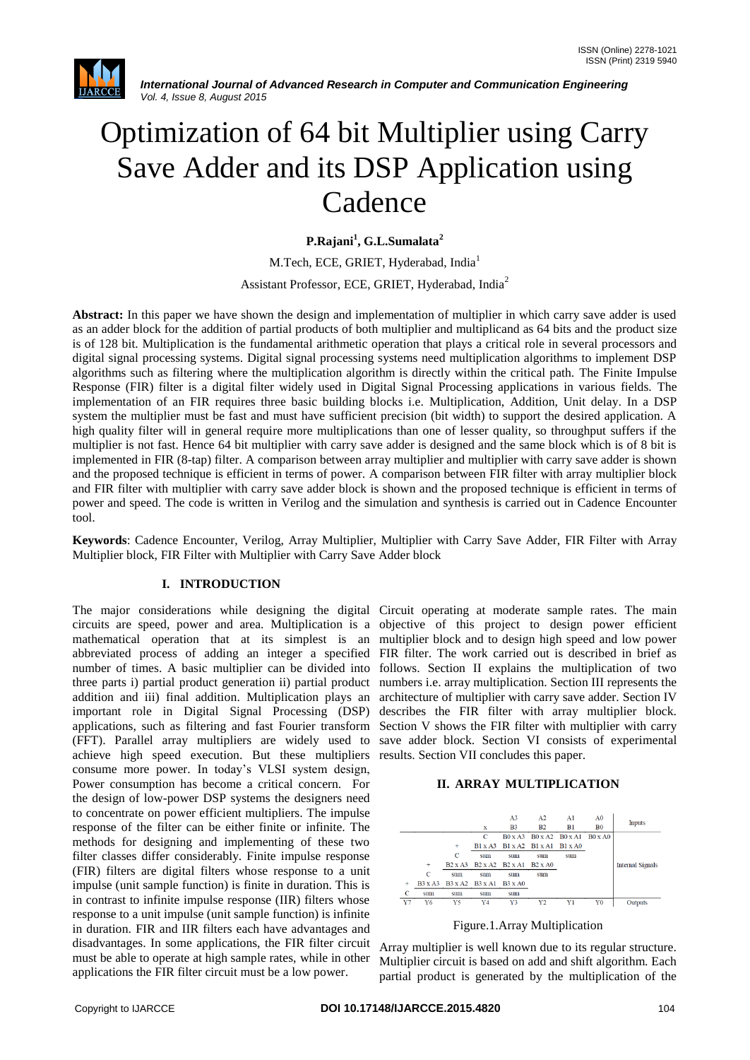

# Optimization of 64 bit Multiplier using Carry Save Adder and its DSP Application using Cadence

**P.Rajani<sup>1</sup> , G.L.Sumalata<sup>2</sup>**

M.Tech, ECE, GRIET, Hyderabad, India<sup>1</sup>

Assistant Professor, ECE, GRIET, Hyderabad, India<sup>2</sup>

**Abstract:** In this paper we have shown the design and implementation of multiplier in which carry save adder is used as an adder block for the addition of partial products of both multiplier and multiplicand as 64 bits and the product size is of 128 bit. Multiplication is the fundamental arithmetic operation that plays a critical role in several processors and digital signal processing systems. Digital signal processing systems need multiplication algorithms to implement DSP algorithms such as filtering where the multiplication algorithm is directly within the critical path. The Finite Impulse Response (FIR) filter is a digital filter widely used in Digital Signal Processing applications in various fields. The implementation of an FIR requires three basic building blocks i.e. Multiplication, Addition, Unit delay. In a DSP system the multiplier must be fast and must have sufficient precision (bit width) to support the desired application. A high quality filter will in general require more multiplications than one of lesser quality, so throughput suffers if the multiplier is not fast. Hence 64 bit multiplier with carry save adder is designed and the same block which is of 8 bit is implemented in FIR (8-tap) filter. A comparison between array multiplier and multiplier with carry save adder is shown and the proposed technique is efficient in terms of power. A comparison between FIR filter with array multiplier block and FIR filter with multiplier with carry save adder block is shown and the proposed technique is efficient in terms of power and speed. The code is written in Verilog and the simulation and synthesis is carried out in Cadence Encounter tool.

**Keywords**: Cadence Encounter, Verilog, Array Multiplier, Multiplier with Carry Save Adder, FIR Filter with Array Multiplier block, FIR Filter with Multiplier with Carry Save Adder block

#### **I. INTRODUCTION**

circuits are speed, power and area. Multiplication is a objective of this project to design power efficient mathematical operation that at its simplest is an multiplier block and to design high speed and low power abbreviated process of adding an integer a specified FIR filter. The work carried out is described in brief as number of times. A basic multiplier can be divided into follows. Section II explains the multiplication of two three parts i) partial product generation ii) partial product numbers i.e. array multiplication. Section III represents the addition and iii) final addition. Multiplication plays an architecture of multiplier with carry save adder. Section IV important role in Digital Signal Processing (DSP) describes the FIR filter with array multiplier block. applications, such as filtering and fast Fourier transform Section V shows the FIR filter with multiplier with carry (FFT). Parallel array multipliers are widely used to save adder block. Section VI consists of experimental achieve high speed execution. But these multipliers results. Section VII concludes this paper. consume more power. In today"s VLSI system design, Power consumption has become a critical concern. For the design of low-power DSP systems the designers need to concentrate on power efficient multipliers. The impulse response of the filter can be either finite or infinite. The methods for designing and implementing of these two filter classes differ considerably. Finite impulse response (FIR) filters are digital filters whose response to a unit impulse (unit sample function) is finite in duration. This is in contrast to infinite impulse response (IIR) filters whose response to a unit impulse (unit sample function) is infinite in duration. FIR and IIR filters each have advantages and disadvantages. In some applications, the FIR filter circuit must be able to operate at high sample rates, while in other applications the FIR filter circuit must be a low power.

The major considerations while designing the digital Circuit operating at moderate sample rates. The main

#### **II. ARRAY MULTIPLICATION**





Array multiplier is well known due to its regular structure. Multiplier circuit is based on add and shift algorithm. Each partial product is generated by the multiplication of the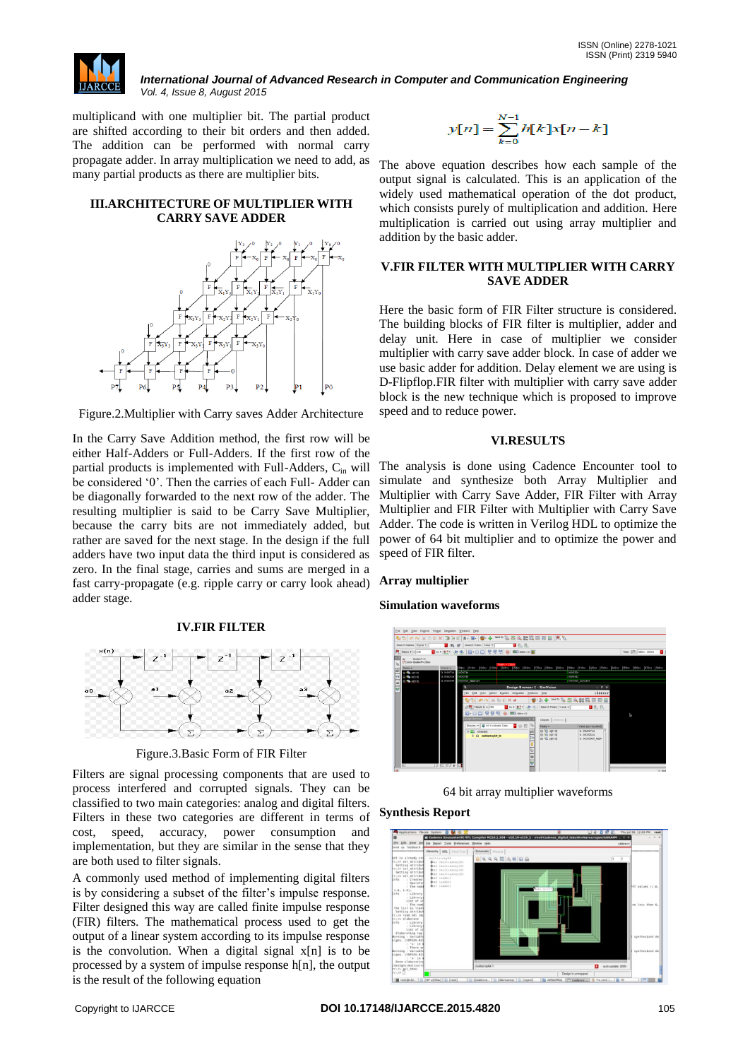

multiplicand with one multiplier bit. The partial product are shifted according to their bit orders and then added. The addition can be performed with normal carry propagate adder. In array multiplication we need to add, as many partial products as there are multiplier bits.

## **III.ARCHITECTURE OF MULTIPLIER WITH CARRY SAVE ADDER**



Figure.2.Multiplier with Carry saves Adder Architecture

In the Carry Save Addition method, the first row will be either Half-Adders or Full-Adders. If the first row of the partial products is implemented with Full-Adders,  $C_{in}$  will be considered '0'. Then the carries of each Full-Adder can be diagonally forwarded to the next row of the adder. The resulting multiplier is said to be Carry Save Multiplier, because the carry bits are not immediately added, but rather are saved for the next stage. In the design if the full adders have two input data the third input is considered as zero. In the final stage, carries and sums are merged in a fast carry-propagate (e.g. ripple carry or carry look ahead) adder stage.

## **IV.FIR FILTER**



Figure.3.Basic Form of FIR Filter

Filters are signal processing components that are used to process interfered and corrupted signals. They can be classified to two main categories: analog and digital filters. Filters in these two categories are different in terms of cost, speed, accuracy, power consumption and implementation, but they are similar in the sense that they are both used to filter signals.

A commonly used method of implementing digital filters is by considering a subset of the filter"s impulse response. Filter designed this way are called finite impulse response (FIR) filters. The mathematical process used to get the output of a linear system according to its impulse response is the convolution. When a digital signal x[n] is to be processed by a system of impulse response h[n], the output is the result of the following equation

$$
y[n] = \sum_{k=0}^{N-1} h[k]x[n-k]
$$

The above equation describes how each sample of the output signal is calculated. This is an application of the widely used mathematical operation of the dot product, which consists purely of multiplication and addition. Here multiplication is carried out using array multiplier and addition by the basic adder.

### **V.FIR FILTER WITH MULTIPLIER WITH CARRY SAVE ADDER**

Here the basic form of FIR Filter structure is considered. The building blocks of FIR filter is multiplier, adder and delay unit. Here in case of multiplier we consider multiplier with carry save adder block. In case of adder we use basic adder for addition. Delay element we are using is D-Flipflop.FIR filter with multiplier with carry save adder block is the new technique which is proposed to improve speed and to reduce power.

## **VI.RESULTS**

The analysis is done using Cadence Encounter tool to simulate and synthesize both Array Multiplier and Multiplier with Carry Save Adder, FIR Filter with Array Multiplier and FIR Filter with Multiplier with Carry Save Adder. The code is written in Verilog HDL to optimize the power of 64 bit multiplier and to optimize the power and speed of FIR filter.

# **Array multiplier**

## **Simulation waveforms**



64 bit array multiplier waveforms

## **Synthesis Report**

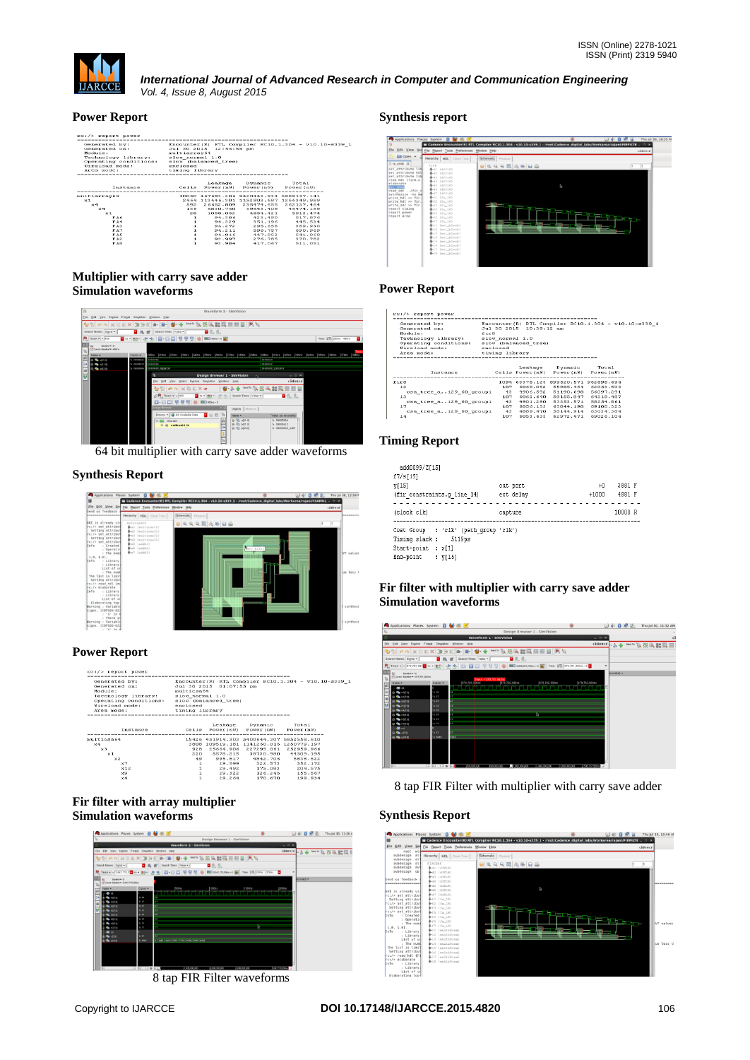

## **Power Report**

| rc:/> report power                         |                |                         |                                          |                                                       |  |
|--------------------------------------------|----------------|-------------------------|------------------------------------------|-------------------------------------------------------|--|
|                                            |                |                         |                                          |                                                       |  |
| Generated by:                              |                |                         |                                          | Encounter (R) RTL Compiler RC10.1.304 - v10.10-s339 1 |  |
| Generated on:                              |                | Jul 30 2015 12:46:55 pm |                                          |                                                       |  |
| Module:                                    | multiarrav64   |                         |                                          |                                                       |  |
| Technology library: slow_normal 1.0        |                |                         |                                          |                                                       |  |
| Operating conditions: slow (balanced tree) |                |                         |                                          |                                                       |  |
| enclosed<br>Wireload mode:                 |                |                         |                                          |                                                       |  |
| Area mode:                                 | timing library |                         |                                          |                                                       |  |
|                                            |                |                         |                                          |                                                       |  |
|                                            |                |                         |                                          |                                                       |  |
|                                            |                |                         | Leakage Dynamic Total                    |                                                       |  |
| Instance                                   |                |                         | Cells Power(nW) Power(nW) Power(nW)      |                                                       |  |
|                                            |                |                         |                                          |                                                       |  |
| multiarray64                               |                |                         | 10050 467693.206 5420443.934 5888137.141 |                                                       |  |
| $\times 1$                                 |                |                         | 2464 113446.301 1152903.687 1266349.989  |                                                       |  |
| $\times 4$                                 |                |                         | 592 26652.809 235474.655 262127.464      |                                                       |  |
| $\times 4$                                 |                |                         | 136 5830.760 39643.409 45474.169         |                                                       |  |
| $\times 1$                                 |                |                         | 28 1058.052 4854.421 5912.474            |                                                       |  |
| FAG                                        | п.             |                         | 94.386 423.490 517.676                   |                                                       |  |
| FA4                                        | $\mathbf{1}$   |                         | 94.329 351.196                           | 445.524                                               |  |
| FA3                                        | ı              |                         | 94.272 295.658                           | 389.930                                               |  |
| FA7                                        | $\mathbf{1}$   |                         | 94.211 596.757                           | 690.969                                               |  |
| FAS                                        | $\mathbf{1}$   |                         | 94.016 447.852                           | 541,868                                               |  |
| FA2                                        | s.             |                         | 93.997 276.785                           | 370.782                                               |  |
| FAB                                        | n.             | 93.984                  | 417.067                                  | 511.051                                               |  |
|                                            |                |                         |                                          |                                                       |  |

## **Multiplier with carry save adder Simulation waveforms**

| $\overline{\mathbf{a}}$ |                                              |                   | Waveform 1 - SimVision                                                                                  |                        |                          |
|-------------------------|----------------------------------------------|-------------------|---------------------------------------------------------------------------------------------------------|------------------------|--------------------------|
| Elle                    | Eat<br>Explore<br><b>View</b>                | Format Sinufation | <b>Windows</b> Help                                                                                     |                        |                          |
|                         |                                              |                   | 3 1 4 日 日 サ サ *** 以先 大 記 日 日 日 下 り                                                                      |                        |                          |
|                         | Search Names: Signal .                       |                   | ■乳儿<br>Search Times: Value -                                                                            |                        |                          |
|                         | $P_{\text{c}}$ Time A $=$ $-400$             |                   | ■ 2018: 2019 초 그 그 그 모든 모든 이 2000ml =                                                                   |                        | Time: \$15 200ms : 400ns |
|                         | Samfra v + D<br>f/ Cursor-Baseline = + 400ro |                   |                                                                                                         |                        | <b>Consulting</b>        |
|                         | Namo -                                       | Cursor +          | 100ms (210ms (220ms (240ms (250ms (260ms (270ms (280ms (290ms (300ms (310ms (320ms (340ms (360ms )      |                        | 380mm<br>360ms<br>1370mm |
|                         | $10-46$ + $0100$                             | $h$ coreccie      | 00000754                                                                                                | 00000624               |                          |
|                         | (3-4 h010)                                   | 1.0000611         | <b>SERRITS SA</b>                                                                                       | 00001112               |                          |
|                         | $D - 86.00$                                  | 1.0010001         | 000000000000110                                                                                         | <b>RODOTOF TOPICKE</b> |                          |
|                         |                                              |                   | <b>Design Browser 1 - SimVision</b>                                                                     | $ 0$ $x$               |                          |
|                         |                                              |                   | Elle Edit View Select Explore Singlation<br>Windows<br>Help                                             | cädence                |                          |
|                         |                                              |                   | $9.3 +$<br>Send To:<br>$P_G \otimes    \bullet \circ \bullet    \times \otimes    \times \bullet$<br>44 | 医器拟曲曲<br>叢             |                          |
|                         |                                              |                   | $T = 400$<br>ni = Rd - de ib. Search Times: Value =                                                     | ■ 机 机                  |                          |
|                         |                                              |                   | 모<br>层<br>四一四四<br>묲<br>$\Box$ 400 $\alpha$ + 0                                                          |                        |                          |
|                         |                                              |                   | <b>Vesign Browser</b><br>Objects   Mithods                                                              |                        |                          |
|                         |                                              |                   | Browse: - G All Available Data<br>日继<br>$\Box$<br>Name =                                                | Value (as recorded     |                          |
|                         |                                              |                   | 图 40 401 00<br><b>B-CD</b> simulator<br>ù                                                               | DODGECOS               |                          |
|                         |                                              |                   | 盘 电 b(31.0)<br>$E - \Omega$ multicages to                                                               | h 00005612             |                          |
|                         |                                              |                   | h.<br><b>B-E394 平 B</b>                                                                                 | h 00000000_1cr*        |                          |
|                         |                                              |                   |                                                                                                         |                        |                          |
|                         |                                              |                   | $\mathfrak{b}$                                                                                          |                        |                          |
|                         |                                              |                   |                                                                                                         |                        |                          |

64 bit multiplier with carry save adder waveforms

# **Synthesis Report**



# **Power Report**

| rc:/> report power                                                                                                        |                                                             |                                                 |                                                                                                                                                                                    |                                                       |  |
|---------------------------------------------------------------------------------------------------------------------------|-------------------------------------------------------------|-------------------------------------------------|------------------------------------------------------------------------------------------------------------------------------------------------------------------------------------|-------------------------------------------------------|--|
| Generated by:<br>Generated on:<br>Module:<br>Technology library:<br>Operating conditions:<br>Wireload mode:<br>Area mode: | multicsa64<br>slow normal 1.0<br>enclosed<br>timing library | Jul 30 2015 01:07:55 pm<br>slow (balanced tree) |                                                                                                                                                                                    | Encounter (R) RTL Compiler RC10.1.304 - v10.10-s339 1 |  |
| Instance                                                                                                                  |                                                             |                                                 | Leakage Dynamic Total<br>Cells Power(nW) Power(nW) Power(nW)                                                                                                                       |                                                       |  |
|                                                                                                                           |                                                             |                                                 |                                                                                                                                                                                    |                                                       |  |
| $m$ ultican64<br>$\times 4$<br>$\times 3$<br>$\times 1$<br>$\times 2$                                                     | 3808<br>928<br>49.                                          |                                                 | 15426 451914.303 5400644.307 5852558.610<br>109519.181 1141260.016 1250779.197<br>25664.906 227295.061 252959.966<br>220 5578.215 38730.980 44309.195<br>995.817 4842.706 5838.522 |                                                       |  |
| $\times 7$<br>$\times$ 12<br>$\times 9$                                                                                   | $\mathbf{1}$<br>1<br>$\mathbf{1}$                           |                                                 | 29.599 322.573<br>29.492 175.083<br>29.322 126.245                                                                                                                                 | 352.172<br>204.575<br>155.567                         |  |
| $\times 4$                                                                                                                | 1                                                           | 29.264                                          | 178.678                                                                                                                                                                            | 199.934                                               |  |
|                                                                                                                           |                                                             |                                                 |                                                                                                                                                                                    |                                                       |  |

#### **Fir filter with array multiplier Simulation waveforms**



8 tap FIR Filter waveforms

# **Synthesis report**



## **Power Report**

| $rc1$ /> report power                                                                                                             |                                               |                                                 |                                                                 |                                                       |  |
|-----------------------------------------------------------------------------------------------------------------------------------|-----------------------------------------------|-------------------------------------------------|-----------------------------------------------------------------|-------------------------------------------------------|--|
| Generated by:<br>Generated on:<br>Hodule:<br>fir8<br>Technology library:<br>Operating conditions:<br>Wireload mode:<br>Area mode: | slow normal 1.0<br>enclosed<br>timing library | Jul 30 2015 10:39:12 am<br>slow (balanced tree) |                                                                 | Encounter (R) RTL Compiler RC10.1.304 - v10.10-s339 1 |  |
| Instance                                                                                                                          |                                               | Leakage                                         | Dynamic<br>Cells Power(nW) Power(nW) Power(nW)                  | Total                                                 |  |
| firs<br>12                                                                                                                        | 1094<br>107                                   |                                                 | 63378.123 899520.571 962898.694<br>6068.052 55985.454 62053.506 | ---------                                             |  |

| 12                      | 107 | 6068.052  | 55985.454 | 62053.506 |
|-------------------------|-----|-----------|-----------|-----------|
| csa tree a129 60 groupi | 43  | 4906.592  | 51190.698 | 56097.291 |
| 13                      | 107 | 6062.640  | 58155.847 | 64218.487 |
| csa tree a129 60 groupi | 43  | 4901.290  | 53353.571 | 58254.861 |
| 17                      | 107 | 6056.133  | 63044.190 | 69100.323 |
| csa tree a129 60 groupi | 43  | 4889, 470 | 58144.914 | 63034.384 |
| 14                      | 107 | 6053.633  | 62972.471 | 69026.104 |
|                         |     |           |           |           |
|                         |     |           |           |           |

# **Timing Report**

| add0099/Z[15]<br>f7/s[15]<br>V[15]<br>(fir constraints.g line 14)                                             | out port<br>ext delay | $+0$<br>$+1000$ | 3881 F<br>4881 F |
|---------------------------------------------------------------------------------------------------------------|-----------------------|-----------------|------------------|
| (clock clk)                                                                                                   | capture               |                 | 10000 R          |
| Cost Group : 'clk' (path group 'clk')<br>Timing slack : 5119ps<br>Start-point : x[1]<br>$End-point$ ; $v[15]$ |                       |                 |                  |

## **Fir filter with multiplier with carry save adder Simulation waveforms**



8 tap FIR Filter with multiplier with carry save adder

# **Synthesis Report**

|                                            | Applications Places System <b>Q</b> & <b>C</b>          |                                                                                                                          | $\omega$ de $\Omega$ | Thu Jul 30, 10:46 At |            |
|--------------------------------------------|---------------------------------------------------------|--------------------------------------------------------------------------------------------------------------------------|----------------------|----------------------|------------|
|                                            |                                                         | Gadence Encounter(R) RTL Compiler RC10.1.304 - v10.10-s339_1 - /root/Cadence_digital_labs/Workarea/rajani/FIRFILTE _ 0 X |                      |                      |            |
| File                                       | Edit View Sea File Report Tools Preferences Window Help |                                                                                                                          |                      | câdence              |            |
| root wld<br>subdesign all<br>subdesign all | <b>Herarchy   HDL</b>   Clock Tree                      | Schematic Physical                                                                                                       |                      |                      |            |
| subdesign all<br>subdesign aut             | FIRCSAS<br>B-d1 (dff16)                                 | $\Theta \otimes \mathcal{A} \otimes \mathcal{B} \otimes \mathcal{B} \otimes \mathcal{B}$                                 |                      |                      |            |
| subdesign dp                               | @-d2 [dff16]                                            |                                                                                                                          |                      |                      |            |
| Send us feedback<br>                       | B-43 (dff16)<br><b>身-34 [dff16]</b><br>B-d5 (dff16)     |                                                                                                                          |                      |                      | ---------- |
| GUI is already vis                         | B-d6 [dff16]                                            | $\triangleright$                                                                                                         |                      |                      |            |
| rc:/> set attribut                         | Bd7 (dff16)<br><b>B-f1</b> [fa_16]                      |                                                                                                                          |                      |                      |            |
| Setting attribut<br>rc:/> set attribut     | <b>B-</b> £2 [fn.16]                                    |                                                                                                                          |                      |                      |            |
| Setting attribut                           | <b>8-f3</b> [fa_16]                                     |                                                                                                                          |                      |                      |            |
| rc:/> set attribut<br>: Created            | <b>B-</b> £4 [£a.16]                                    |                                                                                                                          |                      |                      |            |
| Info<br>: Operatin                         | <b>B-f5</b> [fa_16]                                     |                                                                                                                          |                      |                      |            |
| : The nomi                                 | <b>0-</b> £6 [fa_16]<br><b>B-f7</b> [fa_16]             |                                                                                                                          | di China v           | i,                   | IVT values |
| $1.0.1.0$ .                                | 8-11 Inulti8csal                                        | 后一                                                                                                                       |                      |                      |            |
| : Library<br>Info<br>: Library             | 8-12 Inulti8csal                                        |                                                                                                                          |                      |                      |            |
| List of un                                 | \$13 [multi8csa]                                        |                                                                                                                          |                      |                      |            |
| : The numi                                 | 8-14 Inulti8csal                                        |                                                                                                                          |                      |                      | ue less ti |
| the list is limit<br>Setting attribut      | <b>B-15 Inultificanl</b>                                |                                                                                                                          |                      |                      |            |
| rc:/> read hdl (F)                         | 8-16 Inulti8csal<br>8-17 Inslti8caal                    |                                                                                                                          |                      |                      |            |
| rc:/> elaborate                            | <b>B</b> -18 [multi8csa]                                |                                                                                                                          |                      |                      |            |
| : Library<br>Info<br>: Library             |                                                         |                                                                                                                          |                      |                      |            |
| List of un                                 |                                                         |                                                                                                                          |                      |                      |            |
| Flaborating too!                           |                                                         |                                                                                                                          |                      |                      |            |